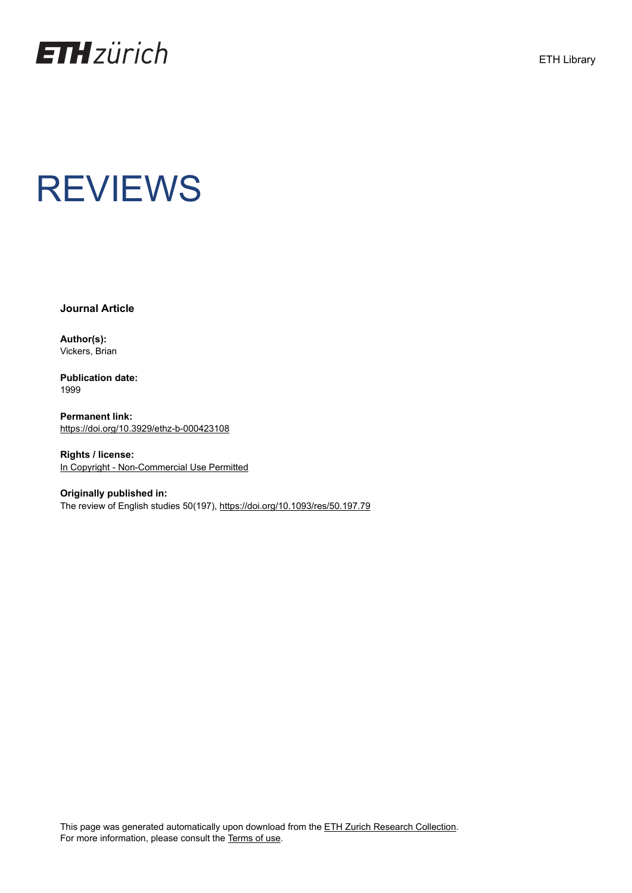

**Journal Article**

**Author(s):** Vickers, Brian

**Publication date:** 1999

**Permanent link:** <https://doi.org/10.3929/ethz-b-000423108>

**Rights / license:** [In Copyright - Non-Commercial Use Permitted](http://rightsstatements.org/page/InC-NC/1.0/)

**Originally published in:** The review of English studies 50(197), <https://doi.org/10.1093/res/50.197.79>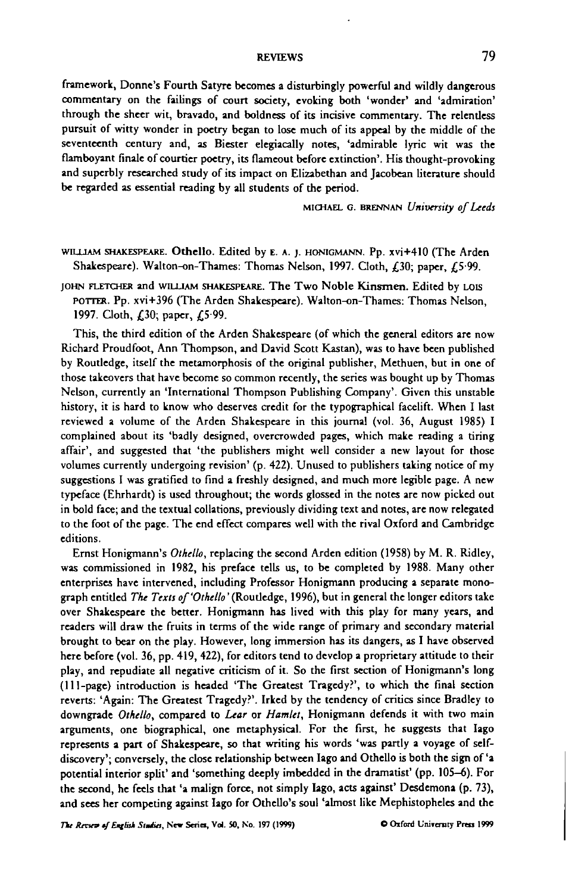framework, Donne's Fourth Satyre becomes a disturbingly powerful and wildly dangerous commentary on the failings of court society, evoking both 'wonder' and 'admiration' through the sheer wit, bravado, and boldness of its incisive commentary. The relentless pursuit of witty wonder in poetry began to lose much of its appeal by the middle of the seventeenth century and, as Biester elegiacally notes, 'admirable lyric wit was the flamboyant finale of courtier poetry, its flameout before extinction'. His thought-provoking and superbly researched study of its impact on Elizabethan and Jacobean literature should be regarded as essential reading by all students of the period.

**MICHAEL G. BRENNAN** *University of Leeds*

WILLIAM SHAKESPEARE. Othello. Edited by E. A. J. HONIGMANN. Pp. xvi+410 (The Arden Shakespeare). Walton-on-Thames: Thomas Nelson, 1997. Cloth, £30; paper, £5-99.

JOHN FLETCHER and WILLIAM SHAKESPEARE. The Two Noble Kinsmen. Edited by LOIS POTTER. Pp. xvi+396 (The Arden Shakespeare). Walton-on-Thames: Thomas Nelson, 1997. Cloth, £30; paper, £5-99.

This, the third edition of the Arden Shakespeare (of which the general editors are now Richard Proudfoot, Ann Thompson, and David Scott Kastan), was to have been published by Routledge, itself the metamorphosis of the original publisher, Methuen, but in one of those takeovers that have become so common recently, the series was bought up by Thomas Nelson, currently an 'International Thompson Publishing Company'. Given this unstable history, it is hard to know who deserves credit for the typographical facelift. When I last reviewed a volume of the Arden Shakespeare in this journal (vol. 36, August 1985) I complained about its 'badly designed, overcrowded pages, which make reading a tiring affair', and suggested that 'the publishers might well consider a new layout for those volumes currently undergoing revision' (p. 422). Unused to publishers taking notice of my suggestions I was gratified to find a freshly designed, and much more legible page. A new typeface (Ehrhardt) is used throughout; the words glossed in the notes are now picked out in bold face; and the textual collations, previously dividing text and notes, are now relegated to the foot of the page. The end effect compares well with the rival Oxford and Cambridge editions.

Ernst Honigmann's *Othello,* replacing the second Arden edition (1958) by M. R. Ridley, was commissioned in 1982, his preface tells us, to be completed by 1988. Many other enterprises have intervened, including Professor Honigmann producing a separate monograph entitled *The Texts of'Othello'* (Routledge, 1996), but in general the longer editors take over Shakespeare the better. Honigmann has lived with this play for many years, and readers will draw the fruits in terms of the wide range of primary and secondary material brought to bear on the play. However, long immersion has its dangers, as I have observed here before (vol. 36, pp. 419, 422), for editors tend to develop a proprietary attitude to their play, and repudiate all negative criticism of it. So the first section of Honigmann's long (111-page) introduction is headed 'The Greatest Tragedy?', to which the final section reverts: 'Again: The Greatest Tragedy?'. Irked by the tendency of critics since Bradley to downgrade *Othello,* compared to *Lear* or *Hamlet,* Honigmann defends it with two main arguments, one biographical, one metaphysical. For the first, he suggests that Iago represents a part of Shakespeare, so that writing his words 'was partly a voyage of selfdiscovery'; conversely, the close relationship between Iago and Othello is both the sign of 'a potential interior split' and 'something deeply imbedded in the dramatist' (pp. 105-6). For the second, he feels that 'a malign force, not simply Iago, acts against' Desdemona (p. 73), and sees her competing against Iago for Othello's soul 'almost like Mephistopheles and the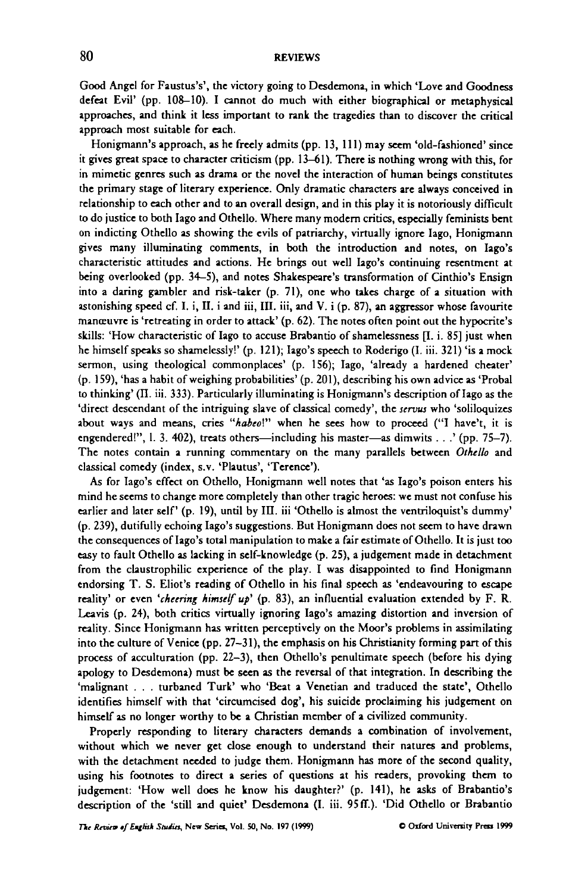Good Angel for Faustus's', the victory going to Desdemona, in which 'Love and Goodness defeat Evil' (pp. 108-10). I cannot do much with either biographical or metaphysical approaches, and think it less important to rank the tragedies than to discover the critical approach most suitable for each.

Honigmann's approach, as he freely admits (pp. 13, 111) may seem 'old-fashioned' since it gives great space to character criticism (pp. 13-61). There is nothing wrong with this, for in mimetic genres such as drama or the novel the interaction of human beings constitutes the primary stage of literary experience. Only dramatic characters are always conceived in relationship to each other and to an overall design, and in this play it is notoriously difficult to do justice to both Iago and Othello. Where many modem critics, especially feminists bent on indicting Othello as showing the evils of patriarchy, virtually ignore Iago, Honigmann gives many illuminating comments, in both the introduction and notes, on Iago's characteristic attitudes and actions. He brings out well Iago's continuing resentment at being overlooked (pp. 34–5), and notes Shakespeare's transformation of Cinthio's Ensign into a daring gambler and risk-taker (p. 71), one who takes charge of a situation with astonishing speed cf. I. i, II. i and iii, III. iii, and V. i  $(p. 87)$ , an aggressor whose favourite manœuvre is 'retreating in order to attack'  $(p. 62)$ . The notes often point out the hypocrite's skills: 'How characteristic of Iago to accuse Brabantio of shamelessness [I. i. 85] just when he himself speaks so shamelessly!' (p. 121); Iago's speech to Roderigo (I. iii. 321) 'is a mock sermon, using theological commonplaces' (p. 156); Iago, 'already a hardened cheater' (p. 159), 'has a habit of weighing probabilities' (p. 201), describing his own advice as 'Probal to thinking' (II. iii. 333). Particularly illuminating is Honigmann's description of Iago as the 'direct descendant of the intriguing slave of classical comedy', the *servus* who 'soliloquizes about ways and means, cries "habeo!" when he sees how to proceed ("I have't, it is engendered!", 1. 3. 402), treats others—including his master—as dimwits . . .' (pp. 75—7). The notes contain a running commentary on the many parallels between *Othello* and classical comedy (index, s.v. 'Plautus', 'Terence').

As for Iago's effect on Othello, Honigmann well notes that 'as Iago's poison enters his mind he seems to change more completely than other tragic heroes: we must not confuse his earlier and later self' (p. 19), until by III. iii 'Othello is almost the ventriloquist's dummy' (p. 239), dutifully echoing Iago's suggestions. But Honigmann does not seem to have drawn the consequences of Iago's total manipulation to make a fair estimate of Othello. It is just too easy to fault Othello as lacking in self-knowledge (p. 25), a judgement made in detachment from the claustrophilic experience of the play. I was disappointed to find Honigmann endorsing T. S. Eliot's reading of Othello in his final speech as 'endeavouring to escape reality' or even 'cheering himself up' (p. 83), an influential evaluation extended by F. R. Leavis (p. 24), both critics virtually ignoring Iago's amazing distortion and inversion of reality. Since Honigmann has written perceptively on the Moor's problems in assimilating into the culture of Venice (pp. 27-31), the emphasis on his Christianity forming part of this process of acculturation (pp. 22-3), then Othello's penultimate speech (before his dying apology to Desdemona) must be seen as the reversal of that integration. In describing the 'malignant . . . turbaned Turk' who 'Beat a Venetian and traduced the state', Othello identifies himself with that 'circumcised dog', his suicide proclaiming his judgement on himself as no longer worthy to be a Christian member of a civilized community.

Properly responding to literary characters demands a combination of involvement, without which we never get close enough to understand their natures and problems, with the detachment needed to judge them. Honigmann has more of the second quality, using his footnotes to direct a series of questions at his readers, provoking them to judgement: 'How well does he know his daughter?' (p. 141), he asks of Brabantio's description of the 'still and quiet' Desdemona (I. iii. 95 ff.). 'Did Othello or Brabantio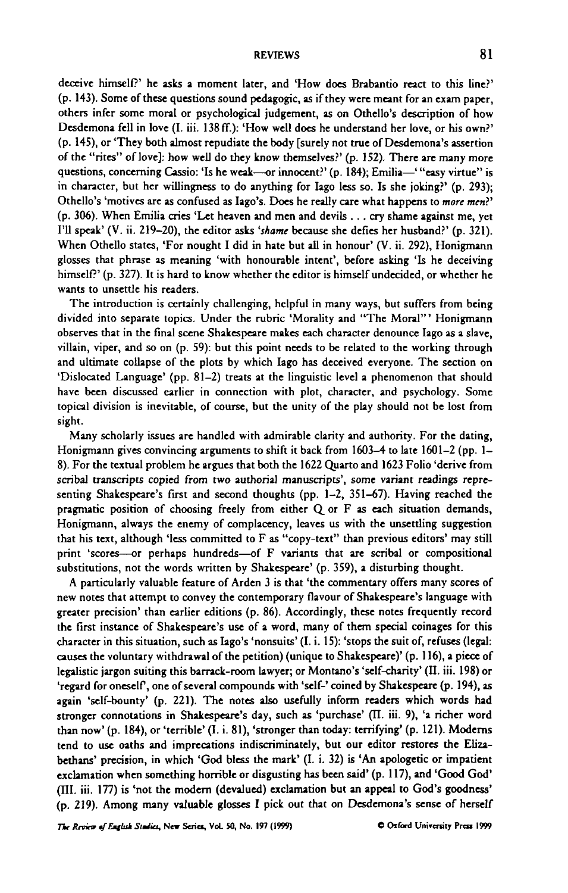deceive himself?' he asks a moment later, and 'How does Brabantio react to this line?' (p. 143). Some of these questions sound pedagogic, as if they were meant for an exam paper, others infer some moral or psychological judgement, as on Othello's description of how Desdemona fell in love (I. iii. 138ff.): 'How well does he understand her love, or his own?' (p. 145), or 'They both almost repudiate the body [surely not true of Desdemona's assertion of the "rites" of love]: how well do they know themselves?' (p. 152). There are many more questions, concerning Cassio: 'Is he weak—or innocent?' (p. 184); Emilia—' "easy virtue" is in character, but her willingness to do anything for Iago less so. Is she joking?' (p. 293); Othello's 'motives are as confused as Iago's. Does he really care what happens to *more men?'* (p. 306). When Emilia cries 'Let heaven and men and devils . . . cry shame against me, yet I'll speak' (V. ii. 219-20), the editor asks *'shame* because she defies her husband?' (p. 321). When Othello states, 'For nought I did in hate but all in honour' (V. ii. 292), Honigmann glosses that phrase as meaning 'with honourable intent', before asking 'Is he deceiving himself?' (p. 327). It is hard to know whether the editor is himself undecided, or whether he wants to unsettle his readers.

The introduction is certainly challenging, helpful in many ways, but suffers from being divided into separate topics. Under the rubric 'Morality and "The Moral'" Honigmann observes that in the flnal scene Shakespeare makes each character denounce Iago as a slave, villain, viper, and so on (p. 59): but this point needs to be related to the working through and ultimate collapse of the plots by which Iago has deceived everyone. The section on 'Dislocated Language' (pp. 81-2) treats at the linguistic level a phenomenon that should have been discussed earlier in connection with plot, character, and psychology. Some topical division is inevitable, of course, but the unity of the play should not be lost from sight.

Many scholarly issues are handled with admirable clarity and authority. For the dating, Honigmann gives convincing arguments to shift it back from 1603—4 to late 1601-2 (pp. 1- 8). For the textual problem he argues that both the 1622 Quarto and 1623 Folio 'derive from scribal transcripts copied from two authorial manuscripts', some variant readings representing Shakespeare's first and second thoughts (pp. 1-2, 351-67). Having reached the pragmatic position of choosing freely from either Q or F as each situation demands, Honigmann, always the enemy of complacency, leaves us with the unsettling suggestion that his text, although 'less committed to F as "copy-text" than previous editors' may still print 'scores—or perhaps hundreds—of F variants that are scribal or compositional substitutions, not the words written by Shakespeare' (p. 359), a disturbing thought.

A particularly valuable feature of Arden 3 is that 'the commentary offers many scores of new notes that attempt to convey the contemporary flavour of Shakespeare's language with greater precision' than earlier editions (p. 86). Accordingly, these notes frequently record the first instance of Shakespeare's use of a word, many of them special coinages for this character in this situation, such as Iago's 'nonsuits' (I. i. 15): 'stops the suit of, refuses (legal: causes the voluntary withdrawal of the petition) (unique to Shakespeare)' (p. 116), a piece of legalistic jargon suiting this barrack-room lawyer; or Montano's 'self-charity' (II. iii. 198) or 'regard for oneself, one of several compounds with 'self-' coined by Shakespeare (p. 194), as again 'self-bounty' (p. 221). The notes also usefully inform readers which words had stronger connotations in Shakespeare's day, such as 'purchase' (II. iii. 9), 'a richer word than now' (p. 184), or 'terrible' (I. i. 81), 'stronger than today: terrifying' (p. 121). Moderns tend to use oaths and imprecations indiscriminately, but our editor restores the Elizabethans' precision, in which 'God bless the mark' (I. i. 32) is 'An apologetic or impatient exclamation when something horrible or disgusting has been said' (p. 117), and 'Good God' (TIL iii. 177) is 'not the modem (devalued) exclamation but an appeal to God's goodness' (p. 219). Among many valuable glosses I pick out that on Desdemona's sense of herself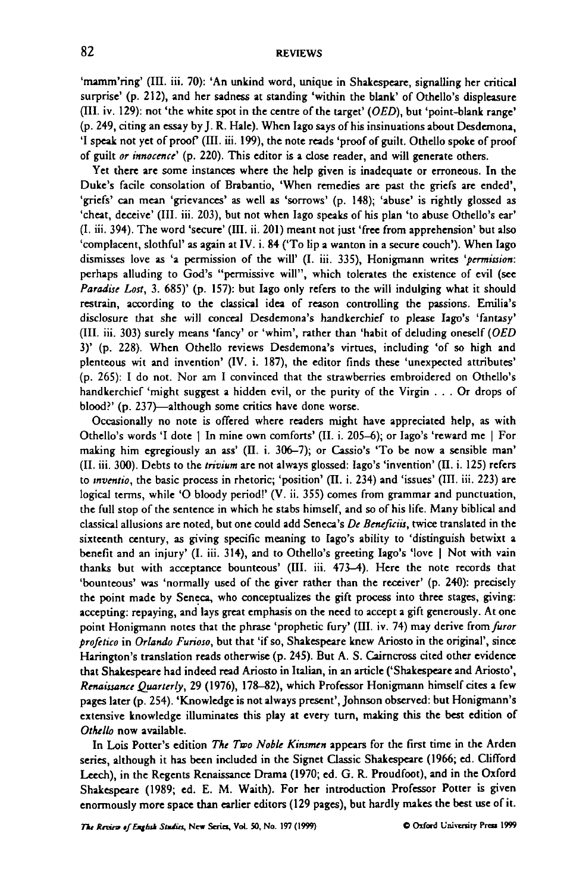'mamm'ring' (III. iii. 70): 'An unkind word, unique in Shakespeare, signalling her critical surprise' (p. 212), and her sadness at standing 'within the blank' of Othello's displeasure (III. iv. 129): not 'the white spot in the centre of the target' *(OED),* but 'point-blank range' (p. 249, citing an essay by J. R. Hale). When Iago says of his insinuations about Desdemona, 'I speak not yet of proof (m. iii. 199), the note reads 'proof of guilt. Othello spoke of proof of guilt *or innocence'* (p. 220). This editor is a close reader, and will generate others.

Yet there are some instances where the help given is inadequate or erroneous. In the Duke's facile consolation of Brabantio, 'When remedies are past the griefs are ended', 'griefs' can mean 'grievances' as well as 'sorrows' (p. 148); 'abuse' is rightly glossed as 'cheat, deceive' (III. iii. 203), but not when Iago speaks of his plan 'to abuse Othello's ear' (I. iii. 394). The word 'secure' (HI. ii. 201) meant not just 'free from apprehension' but also 'complacent, slothful' as again at IV. i. 84 ('To lip a wanton in a secure couch'). When Iago dismisses love as 'a permission of the will' (I. iii. 335), Honigmann writes *'permission:* perhaps alluding to God's "permissive will", which tolerates the existence of evil (see *Paradise Lost,* 3. 685)' (p. 157): but Iago only refers to the will indulging what it should restrain, according to the classical idea of reason controlling the passions. Emilia's disclosure that she will conceal Desdemona's handkerchief to please Iago's 'fantasy' (III. iii. 303) surely means 'fancy' or 'whim', rather than 'habit of deluding oneself *(OED* 3)' (p. 228). When Othello reviews Desdemona's virtues, including 'of so high and plenteous wit and invention' (IV. i. 187), the editor finds these 'unexpected attributes' (p. 265): I do not. Nor am I convinced that the strawberries embroidered on Othello's handkerchief 'might suggest a hidden evil, or the purity of the Virgin .. . Or drops of blood?' (p. 237)—although some critics have done worse.

Occasionally no note is offered where readers might have appreciated help, as with Othello's words 'I dote | In mine own comforts' (II. i. 205-6); or Iago's 'reward me | For making him egregiously an ass' (II. i. 306-7); or Cassio's 'To be now a sensible man' (II. iii. 300). Debts to the *trivium* arc not always glossed: Iago's 'invention' (II. i. 125) refers to *mventio,* the basic process in rhetoric; 'position' (II. i. 234) and 'issues' (III. iii. 223) are logical terms, while 'O bloody period!' (V. ii. 355) comes from grammar and punctuation, the full stop of the sentence in which he stabs himself, and so of his life. Many biblical and classical allusions are noted, but one could add Seneca's *De Benefuiis,* twice translated in the sixteenth century, as giving specific meaning to Iago's ability to 'distinguish betwixt a benefit and an injury' (I. iii. 314), and to Othello's greeting Iago's 'love | Not with vain thanks but with acceptance bounteous' (HI. iii. 473-4). Here the note records that 'bounteous' was 'normally used of the giver rather than the receiver' (p. 240): precisely the point made by Seneca, who conceptualizes the gift process into three stages, giving: accepting: repaying, and lays great emphasis on the need to accept a gift generously. At one point Honigmann notes that the phrase 'prophetic fury' (III. iv. 74) may derive from furor *profetico* in *Orlando Furioso,* but that 'if so, Shakespeare knew Ariosto in the original', since Harington's translation reads otherwise (p. 245). But A. S. Cairncross cited other evidence that Shakespeare had indeed read Ariosto in Italian, in an article ('Shakespeare and Ariosto', *Renaissance Quarterly,* 29 (1976), 178-82), which Professor Honigmann himself cites a few pages later (p. 254). 'Knowledge is not always present', Johnson observed: but Honigmann's extensive knowledge illuminates this play at every turn, making this the best edition of *Othello* now available.

In Lois Potter's edition *The Two Noble Kinsmen* appears for the first time in the Arden series, although it has been included in the Signet Classic Shakespeare (1966; ed. Clifford Leech), in the Regents Renaissance Drama (1970; ed. G. R. Proudfoot), and in the Oxford Shakespeare (1989; ed. E. M. Waith). For her introduction Professor Potter is given enormously more space than earlier editors (129 pages), but hardly makes the best use of it.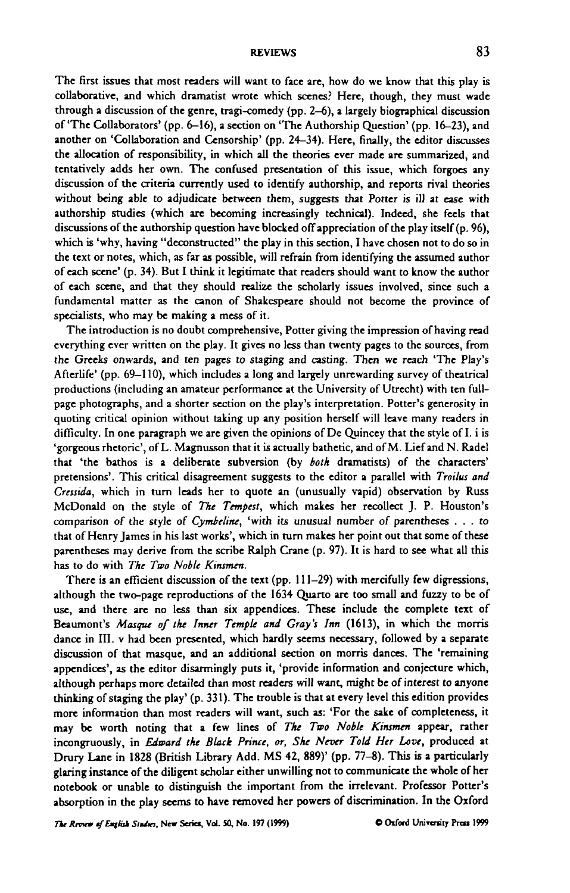The first issues that most readers will want to face are, how do we know that this play is collaborative, and which dramatist wrote which scenes? Here, though, they must wade through a discussion of the genre, tragi-comedy (pp. 2-6), a largely biographical discussion of'The Collaborators' (pp. 6-16), a section on 'The Authorship Question' (pp. 16-23), and another on 'Collaboration and Censorship' (pp. 24-34). Here, finally, the editor discusses the allocation of responsibility, in which all the theories ever made are summarized, and tentatively adds her own. The confused presentation of this issue, which forgoes any discussion of the criteria currently used to identify authorship, and reports rival theories without being able to adjudicate between them, suggests that Potter is ill at ease with authorship studies (which are becoming increasingly technical). Indeed, she feels that discussions of the authorship question have blocked off appreciation of the play itself (p. 96), which is 'why, having "deconstructed" the play in this section, I have chosen not to do so in the text or notes, which, as far as possible, will refrain from identifying the assumed author of each scene' (p. 34). But I think it legitimate that readers should want to know the author of each scene, and that they should realize the scholarly issues involved, since such a fundamental matter as the canon of Shakespeare should not become the province of specialists, who may be making a mess of it.

The introduction is no doubt comprehensive, Potter giving the impression of having read everything ever written on the play. It gives no less than twenty pages to the sources, from the Greeks onwards, and ten pages to staging and casting. Then we reach 'The Play's Afterlife' (pp. 69-110), which includes a long and largely unrewarding survey of theatrical productions (including an amateur performance at the University of Utrecht) with ten fullpage photographs, and a shorter section on the play's interpretation. Potter's generosity in quoting critical opinion without taking up any position herself will leave many readers in difficulty. In one paragraph we are given the opinions of De Quincey that the style of I. i is 'gorgeous rhetoric', of L. Magnusson that it is actually bathetic, and of M. Lief and N. Radel that 'the bathos is a deliberate subversion (by *both* dramatists) of the characters' pretensions'. This critical disagreement suggests to the editor a parallel with *Troilus and Cressida,* which in turn leads her to quote an (unusually vapid) observation by Russ McDonald on the style of *The Tempest,* which makes her recollect J. P. Houston's comparison of the style of *Cymbelint,* 'with its unusual number of parentheses .. . to that of Henry James in his last works', which in turn makes her point out that some of these parentheses may derive from the scribe Ralph Crane (p. 97). It is hard to see what all this has to do with *The Two Noble Kinsmen.*

There is an efficient discussion of the text (pp. 111-29) with mercifully few digressions, although the two-page reproductions of the 1634 Quarto are too small and fuzzy to be of use, and there are no less than six appendices. These include the complete text of Beaumont's *Masque of the Inner Temple and Gray's Inn* (1613), in which the morris dance in HI. v had been presented, which hardly seems necessary, followed by a separate discussion of that masque, and an additional section on morris dances. The 'remaining appendices', as the editor disarmingly puts it, 'provide information and conjecture which, although perhaps more detailed than most readers will want, might be of interest to anyone thinking of staging the play' (p. 331). The trouble is that at every level this edition provides more information than most readers will want, such as: 'For the sake of completeness, it may be worth noting that a few lines of *The Two Noble Kinsmen* appear, rather incongruously, in *Edward the Black Prince, or, She Never Told Her Love,* produced at Drury Lane in 1828 (British Library Add. MS 42, 889)' (pp. 77-8). This is a particularly glaring instance of the diligent scholar either unwilling not to communicate the whole of her notebook or unable to distinguish the important from the irrelevant. Professor Potter's absorption in the play seems to have removed her powers of discrimination. In the Oxford